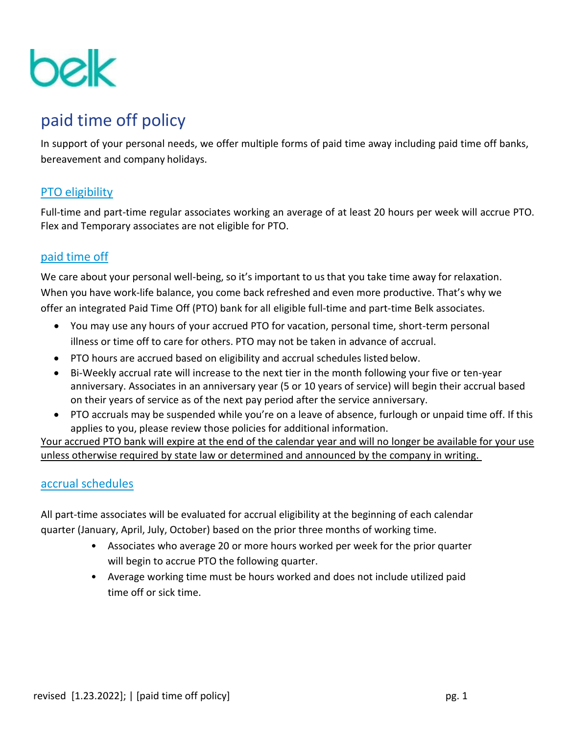

# paid time off policy

In support of your personal needs, we offer multiple forms of paid time away including paid time off banks, bereavement and company holidays.

## PTO eligibility

Full-time and part-time regular associates working an average of at least 20 hours per week will accrue PTO. Flex and Temporary associates are not eligible for PTO.

# paid time off

We care about your personal well-being, so it's important to us that you take time away for relaxation. When you have work-life balance, you come back refreshed and even more productive. That's why we offer an integrated Paid Time Off (PTO) bank for all eligible full-time and part-time Belk associates.

- You may use any hours of your accrued PTO for vacation, personal time, short-term personal illness or time off to care for others. PTO may not be taken in advance of accrual.
- PTO hours are accrued based on eligibility and accrual schedules listed below.
- Bi-Weekly accrual rate will increase to the next tier in the month following your five or ten-year anniversary. Associates in an anniversary year (5 or 10 years of service) will begin their accrual based on their years of service as of the next pay period after the service anniversary.
- PTO accruals may be suspended while you're on a leave of absence, furlough or unpaid time off. If this applies to you, please review those policies for additional information.

Your accrued PTO bank will expire at the end of the calendar year and will no longer be available for your use unless otherwise required by state law or determined and announced by the company in writing.

## accrual schedules

All part-time associates will be evaluated for accrual eligibility at the beginning of each calendar quarter (January, April, July, October) based on the prior three months of working time.

- Associates who average 20 or more hours worked per week for the prior quarter will begin to accrue PTO the following quarter.
- Average working time must be hours worked and does not include utilized paid time off or sick time.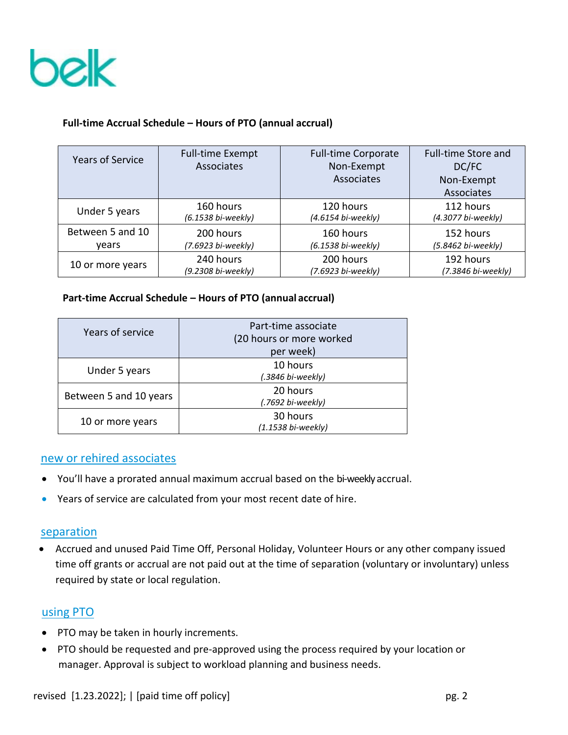

### **Full-time Accrual Schedule – Hours of PTO (annual accrual)**

| Years of Service | <b>Full-time Exempt</b><br>Associates | <b>Full-time Corporate</b><br>Non-Exempt<br>Associates | <b>Full-time Store and</b><br>DC/FC<br>Non-Exempt<br>Associates |
|------------------|---------------------------------------|--------------------------------------------------------|-----------------------------------------------------------------|
| Under 5 years    | 160 hours                             | 120 hours                                              | 112 hours                                                       |
|                  | (6.1538 bi-weekly)                    | (4.6154 bi-weekly)                                     | (4.3077 bi-weekly)                                              |
| Between 5 and 10 | 200 hours                             | 160 hours                                              | 152 hours                                                       |
| vears            | (7.6923 bi-weekly)                    | (6.1538 bi-weekly)                                     | (5.8462 bi-weekly)                                              |
| 10 or more years | 240 hours                             | 200 hours                                              | 192 hours                                                       |
|                  | (9.2308 bi-weekly)                    | (7.6923 bi-weekly)                                     | (7.3846 bi-weekly)                                              |

#### **Part-time Accrual Schedule – Hours of PTO (annual accrual)**

| Years of service       | Part-time associate<br>(20 hours or more worked<br>per week) |
|------------------------|--------------------------------------------------------------|
| Under 5 years          | 10 hours<br>(.3846 bi-weekly)                                |
| Between 5 and 10 years | 20 hours<br>(.7692 bi-weekly)                                |
| 10 or more years       | 30 hours<br>(1.1538 bi-weekly)                               |

#### new or rehired associates

- You'll have a prorated annual maximum accrual based on the bi-weekly accrual.
- Years of service are calculated from your most recent date of hire.

#### separation

 Accrued and unused Paid Time Off, Personal Holiday, Volunteer Hours or any other company issued time off grants or accrual are not paid out at the time of separation (voluntary or involuntary) unless required by state or local regulation.

#### using PTO

- PTO may be taken in hourly increments.
- PTO should be requested and pre-approved using the process required by your location or manager. Approval is subject to workload planning and business needs.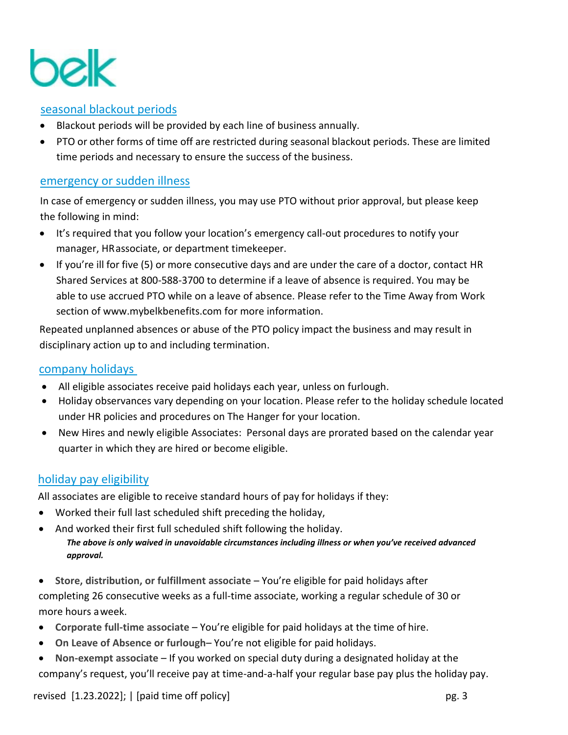

### seasonal blackout periods

- Blackout periods will be provided by each line of business annually.
- PTO or other forms of time off are restricted during seasonal blackout periods. These are limited time periods and necessary to ensure the success of the business.

### emergency or sudden illness

In case of emergency or sudden illness, you may use PTO without prior approval, but please keep the following in mind:

- It's required that you follow your location's emergency call-out procedures to notify your manager, HRassociate, or department timekeeper.
- If you're ill for five (5) or more consecutive days and are under the care of a doctor, contact HR Shared Services at 800-588-3700 to determine if a leave of absence is required. You may be able to use accrued PTO while on a leave of absence. Please refer to the Time Away from Work section of [www.mybelkbenefits.com f](http://www.mybelkbenefits.com/)or more information.

Repeated unplanned absences or abuse of the PTO policy impact the business and may result in disciplinary action up to and including termination.

#### company holidays

- All eligible associates receive paid holidays each year, unless on furlough.
- Holiday observances vary depending on your location. Please refer to the holiday schedule located under HR policies and procedures on The Hanger for your location.
- New Hires and newly eligible Associates: Personal days are prorated based on the calendar year quarter in which they are hired or become eligible.

## holiday pay eligibility

All associates are eligible to receive standard hours of pay for holidays if they:

- Worked their full last scheduled shift preceding the holiday,
- And worked their first full scheduled shift following the holiday. *The above is only waived in unavoidable circumstances including illness or when you've received advanced approval.*
- **Store, distribution, or fulfillment associate**  You're eligible for paid holidays after completing 26 consecutive weeks as a full-time associate, working a regular schedule of 30 or more hours aweek.
- **Corporate full-time associate**  You're eligible for paid holidays at the time of hire.
- **On Leave of Absence or furlough** You're not eligible for paid holidays.
- **Non-exempt associate**  If you worked on special duty during a designated holiday at the company's request, you'll receive pay at time-and-a-half your regular base pay plus the holiday pay.

revised [1.23.2022]; | [paid time off policy] pg. 3